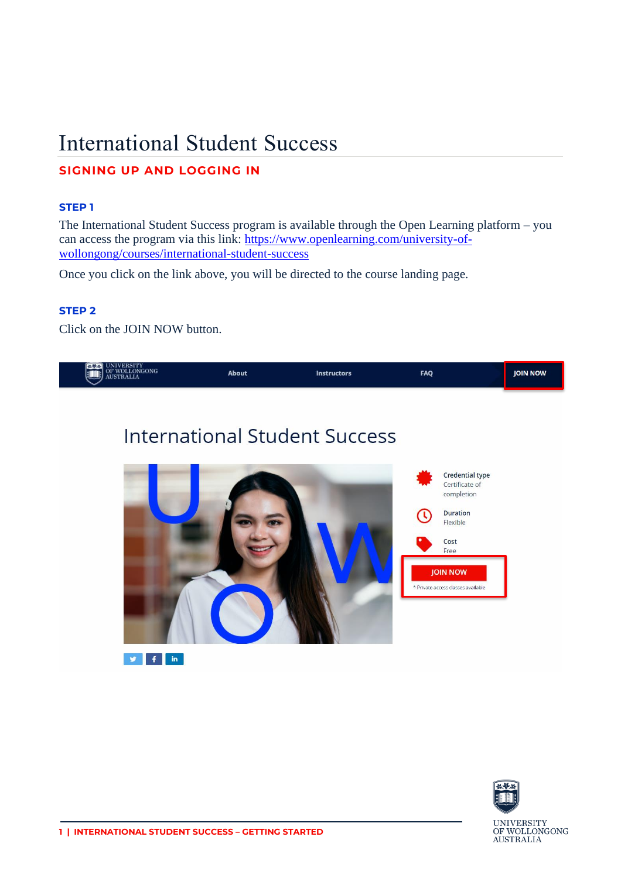# International Student Success

# **SIGNING UP AND LOGGING IN**

### **STEP 1**

The International Student Success program is available through the Open Learning platform – you can access the program via this link: [https://www.openlearning.com/university-of](https://www.openlearning.com/university-of-wollongong/courses/international-student-success)[wollongong/courses/international-student-success](https://www.openlearning.com/university-of-wollongong/courses/international-student-success)

Once you click on the link above, you will be directed to the course landing page.

## **STEP 2**

Click on the JOIN NOW button.



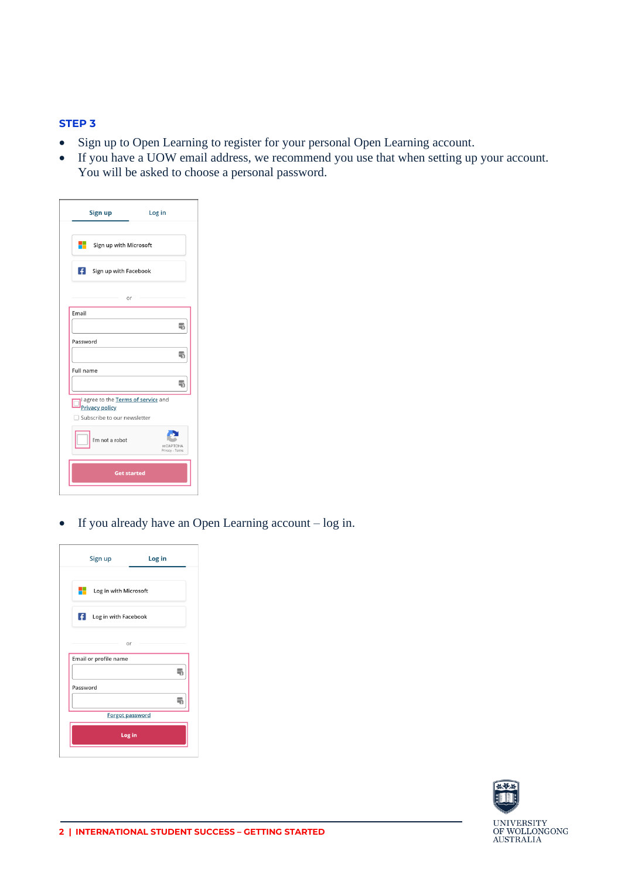#### **STEP 3**

- Sign up to Open Learning to register for your personal Open Learning account.
- If you have a UOW email address, we recommend you use that when setting up your account. You will be asked to choose a personal password.

|           | Sign up                                              | Log in                              |
|-----------|------------------------------------------------------|-------------------------------------|
| a 1910.   | Sign up with Microsoft                               |                                     |
| Ŧ         | Sign up with Facebook                                |                                     |
|           |                                                      | or                                  |
| Email     |                                                      |                                     |
|           |                                                      | 刪                                   |
| Password  |                                                      |                                     |
|           |                                                      | $\frac{1}{3}$                       |
| Full name |                                                      |                                     |
|           |                                                      | ٩                                   |
|           | <b>Privacy policy</b><br>Subscribe to our newsletter | I agree to the Terms of service and |
|           | I'm not a robot                                      | reCAPTCHA<br>Privacy - Terms        |
|           |                                                      |                                     |

• If you already have an Open Learning account – log in.

| Sign up                                        | Log in |
|------------------------------------------------|--------|
| ۰.<br>Log in with Microsoft                    |        |
| $\left  \cdot \right $<br>Log in with Facebook |        |
| or                                             |        |
| Email or profile name                          |        |
|                                                | l۳,    |
| Password                                       |        |
|                                                |        |
| Forgot password                                |        |
| Log in                                         |        |
|                                                |        |

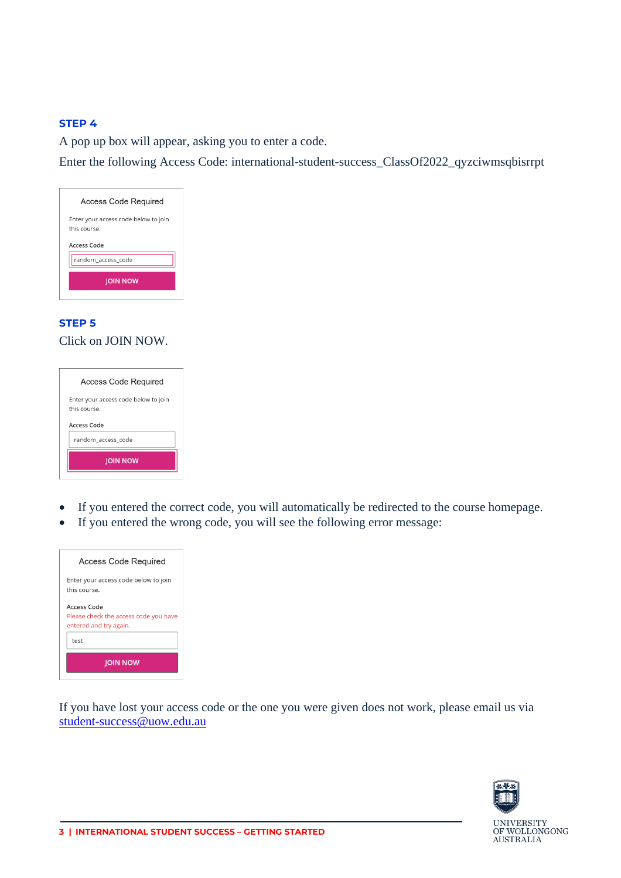#### **STEP 4**

A pop up box will appear, asking you to enter a code.

Enter the following Access Code: international-student-success\_ClassOf2022\_qyzciwmsqbisrrpt

| <b>Access Code Required</b>                          |
|------------------------------------------------------|
| Enter your access code below to join<br>this course. |
| Access Code                                          |
| random access code                                   |
| <b>JOIN NOW</b>                                      |

# **STEP 5** Click on JOIN NOW.

| Access Code Required                                 |  |
|------------------------------------------------------|--|
| Enter your access code below to join<br>this course. |  |
| Access Code                                          |  |
| random access code                                   |  |
| <b>JOIN NOW</b>                                      |  |

- If you entered the correct code, you will automatically be redirected to the course homepage.
- If you entered the wrong code, you will see the following error message:



If you have lost your access code or the one you were given does not work, please email us via [student-success@uow.edu.au](mailto:student-success@uow.edu.au)



**UNIVERSITY** OF WOLLONGONG<br>AUSTRALIA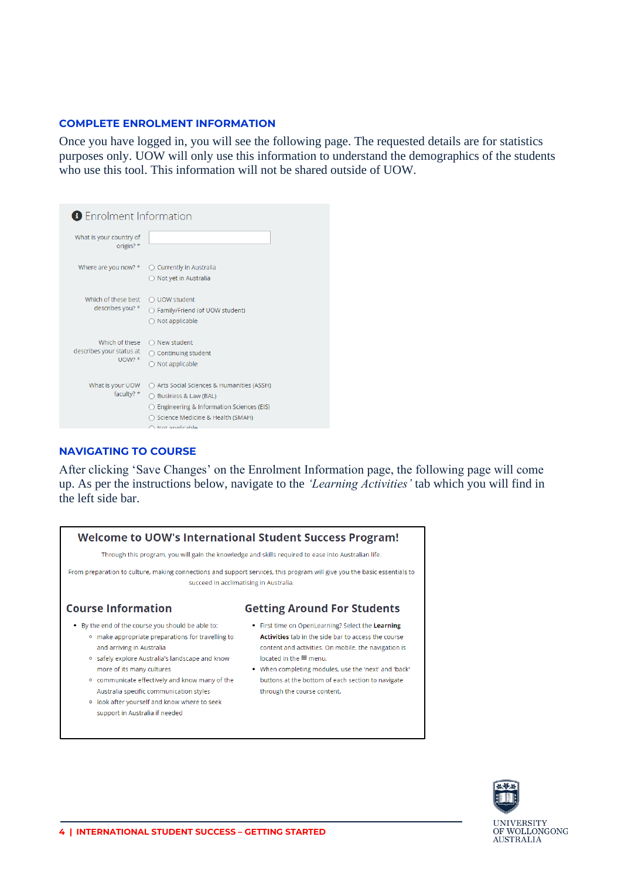#### **COMPLETE ENROLMENT INFORMATION**

Once you have logged in, you will see the following page. The requested details are for statistics purposes only. UOW will only use this information to understand the demographics of the students who use this tool. This information will not be shared outside of UOW.

| <b>B</b> Enrolment Information                         |                                                                                                                                                                          |  |
|--------------------------------------------------------|--------------------------------------------------------------------------------------------------------------------------------------------------------------------------|--|
| What is your country of<br>origin? *                   |                                                                                                                                                                          |  |
| Where are you now? *                                   | Currently in Australia<br>○ Not yet in Australia                                                                                                                         |  |
| Which of these best<br>describes you? *                | ○ UOW student<br>○ Family/Friend (of UOW student)<br>Not applicable                                                                                                      |  |
| Which of these<br>describes your status at<br>$UOW?$ * | $\bigcirc$ New student<br>$\bigcirc$ Continuing student<br>$\bigcirc$ Not applicable                                                                                     |  |
| What is your UOW<br>faculty? *                         | ○ Arts Social Sciences & Humanities (ASSH)<br>Business & Law (BAL)<br>Engineering & Information Sciences (EIS)<br>○ Science Medicine & Health (SMAH)<br>A Not applicable |  |

#### **NAVIGATING TO COURSE**

After clicking 'Save Changes' on the Enrolment Information page, the following page will come up. As per the instructions below, navigate to the *'Learning Activities'* tab which you will find in the left side bar.





**UNIVERSITY** OF WOLLONGONG<br>AUSTRALIA